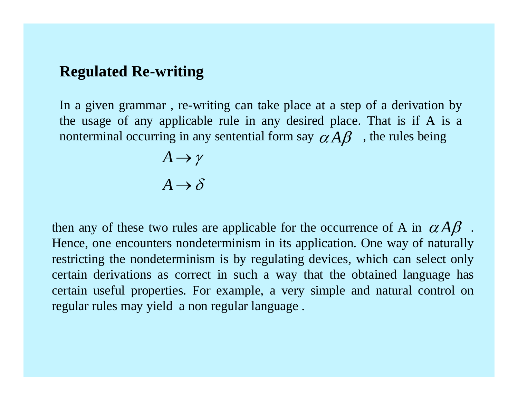# **Regulated Re-writing**

In a given grammar , re-writing can take place at a step of a derivation by the usage of any applicable rule in any desired place. That is if A is a nonterminal occurring in any sentential form say  $\alpha A\beta$ , the rules being

$$
A \to \gamma
$$

$$
A \to \delta
$$

then any of these two rules are applicable for the occurrence of A in  $\alpha A\beta$ . Hence, one encounters nondeterminism in its application. One way of naturally restricting the nondeterminism is by regulating devices, which can select only certain derivations as correct in such a way that the obtained language has certain useful properties. For example, a very simple and natural control on regular rules may yield a non regular language .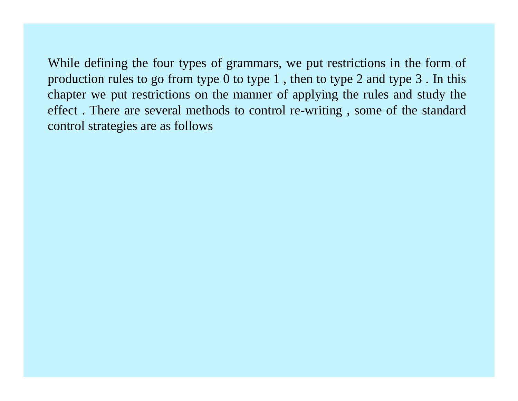While defining the four types of grammars, we put restrictions in the form of production rules to go from type  $0$  to type  $1$ , then to type  $2$  and type  $3$ . In this chapter we put restrictions on the manner of applying the rules and study the effect . There are several methods to control re-writing , some of the standard control strategies are as follows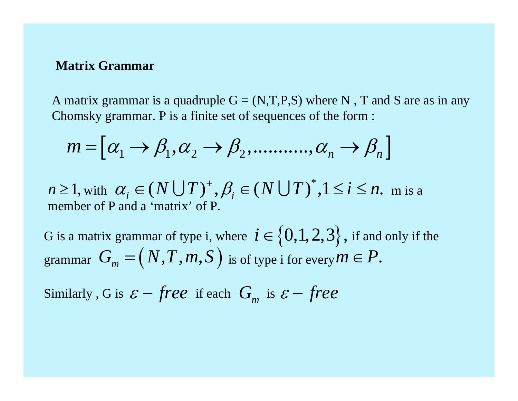#### **Matrix Grammar**

A matrix grammar is a quadruple  $G = (N,T,P,S)$  where N, T and S are as in any Chomsky grammar. P is a finite set of sequences of the form :

$$
m = [\alpha_1 \to \beta_1, \alpha_2 \to \beta_2, \dots, \alpha_n \to \beta_n]
$$

 $m \geq 1$ , with  $\alpha_i \in (N \cup T)^+, \beta_i \in (N \cup T)^*, 1 \leq i \leq n$ . m is a member of P and a 'matrix' of P.

G is a matrix grammar of type i, where  $i \in \{0,1,2,3\}$ , if and only if the G is a matrix grammar of type i, where  $i \in \{0,1,2,3\}$ ,<br>grammar  $G_m = (N,T,m,S)$  is of type i for every  $m$  $= (N, T, m, S)$  is of type i for every  $m \in P$ .

Similarly , G is  $\,{\cal E}$   $-$  *free* if each  $G_m$  is  $\varepsilon$  – *free*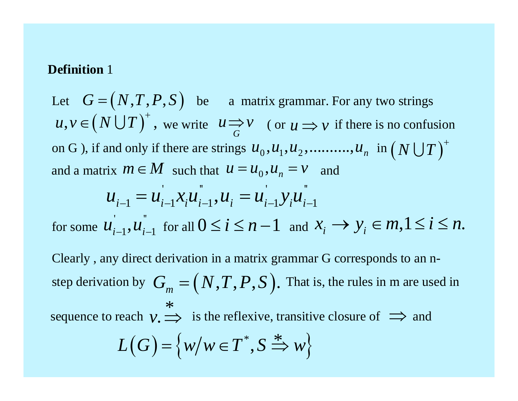#### **Definition** 1

Let  $G = (N, T, P, S)$  be a matrix grammar. For any two strings  $u, v \in (N \cup T)^+$ , we write  $u \Rightarrow v$  (or  $u \Rightarrow v$  if there is no confusion on G ), if and only if there are strings  $u_0, u_1, u_2,..........., u_n$   $\text{ in } \big(N\bigcup T\big)^+$  $\mathbin{\raisebox{.3pt}{:}\!=} \big(N,T,P,S\big)$ and a matrix  $m \in M$  such that  $u = u_0, u_n = v$  and ''' ' ''

$$
u_{i-1} = u_{i-1} x_i u_{i-1}, u_i = u_{i-1} y_i u_{i-1}
$$

for some  $\mathcal{U}_{i-1}, \mathcal{U}_{i-1}$  for all  $0 \leq i \leq n-1$  and ' ''  $u_{i-1}, u_{i-1}$  for all  $0 \leq i \leq n-1$  and  $x_i \rightarrow y_i \in m, 1 \leq i \leq n$ .

Clearly , any direct derivation in a matrix grammar G corresponds to an nstep derivation by  $G_m = (N, T, P, S)$ . That is, the rules in m are used in sequence to reach  $v \implies$  is the reflexive, transitive closure of  $\implies$  and  $\ast$ 

$$
L(G) = \{ w/w \in T^*, S \stackrel{*}{\Rightarrow} w \}
$$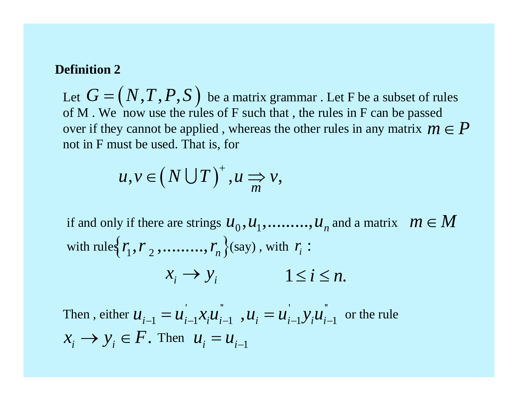#### **Definition 2**

Let  $G = (N, T, P, S)$  be a matrix grammar . Let F be a subset of rules of M. We now use the rules of  $F$  such that, the rules in  $F$  can be passed over if they cannot be applied , whereas the other rules in any matrix  $m \in P$ not in F must be used. That is, for  $\mathbin{\raisebox{.3pt}{:}\!=} \big(N,T,P,S\big)$ 

$$
u, v \in (N \cup T)^+, u \Rightarrow v,
$$

if and only if there are strings  $u_0, u_1, \ldots\ldots\ldots, u_n$  and a matrix  $m \in M$ with rules  $\{r_1, r_2, \ldots, r_n\}$  (say), with  $\emph{r}_{i}$  :

$$
x_i \to y_i \qquad \qquad 1 \le i \le n.
$$

Then, either  $u_{i-1} = u_{i-1}x_iu_{i-1}$ ,  $u_i = u_{i-1}y_iu_{i-1}$  or the rule  $X_i \rightarrow Y_i \in F$ . Then  $u_i = u_{i-1}$ ' '' ''  $u_{i-1} = u_{i-1} x_i u_{i-1}$  $\mathbf{r}$  ''  $1, u_i = u_{i-1} y_i u_{i-1}$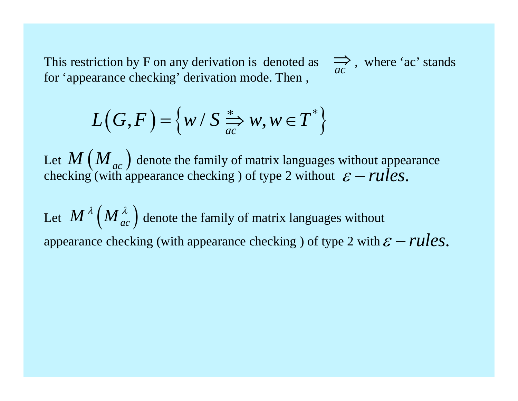This restriction by F on any derivation is denoted as  $\Rightarrow$ , where 'ac' stands for 'appearance checking' derivation mode. Then ,

$$
L(G, F) = \left\{ w / S \xrightarrow[ac]{*} w, w \in T^* \right\}
$$

Let  $\mathcal{M}$  ( $\mathcal{M}_{ac}$ ) denote the family of matrix languages without appearance checking (with appearance checking ) of type 2 without  $M\left(\overline{M}_{ac}\right)$  $\varepsilon$  – *rules*.

Let  $M^{\lambda}\left(M^{\lambda}_{ac}\right)$  denote the family of matrix languages without appearance checking (with appearance checking ) of type 2 with  $\varepsilon$  –  $rules$ .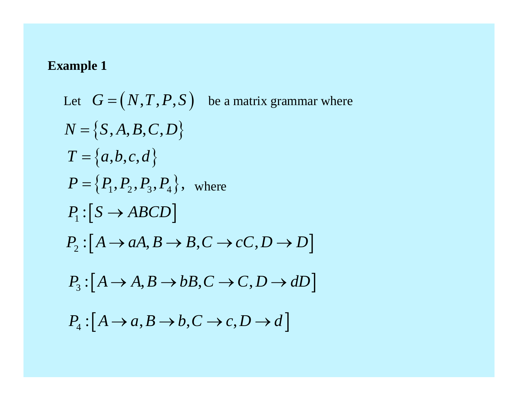Let 
$$
G = (N, T, P, S)
$$
 be a matrix grammar where  
\n $N = \{S, A, B, C, D\}$   
\n $T = \{a, b, c, d\}$   
\n $P = \{P_1, P_2, P_3, P_4\}$ , where  
\n $P_1 : [S \rightarrow ABCD]$   
\n $P_2 : [A \rightarrow aA, B \rightarrow B, C \rightarrow cC, D \rightarrow D]$   
\n $P_3 : [A \rightarrow A, B \rightarrow bB, C \rightarrow C, D \rightarrow dD]$   
\n $P_4 : [A \rightarrow a, B \rightarrow b, C \rightarrow c, D \rightarrow d]$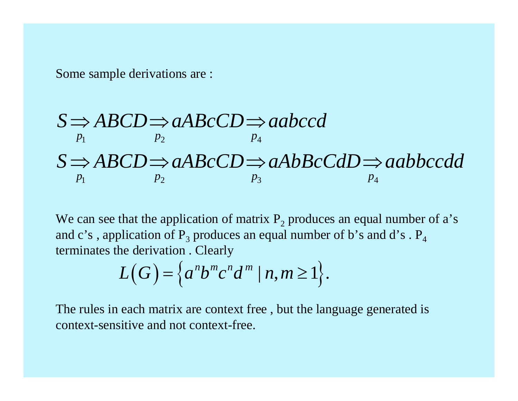Some sample derivations are :

$$
S \Rightarrow ABCD \Rightarrow aABcCD \Rightarrow aabccd
$$
  

$$
S \Rightarrow ABCD \Rightarrow aABCCD \Rightarrow aAbBcCdD \Rightarrow aabbccdd
$$
  

$$
P_1
$$
  

$$
P_2
$$
  

$$
P_3
$$
  

$$
P_4
$$
  

$$
P_5
$$

We can see that the application of matrix  $P_2$  produces an equal number of a's and c's, application of  $P_3$  produces an equal number of b's and d's.  $P_4$ terminates the derivation . Clearly

$$
L(G) = \left\{ a^n b^m c^n d^m \mid n, m \ge 1 \right\}.
$$

The rules in each matrix are context free , but the language generated is context-sensitive and not context-free.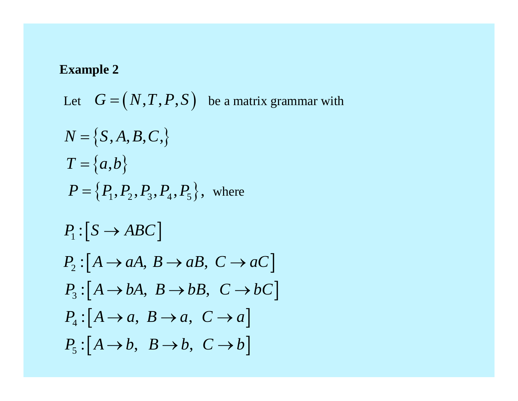Let  $G = (N, T, P, S)$  be a matrix grammar with  $N = \big\{S, A, B, C,\big\}$  $T = \{a, b\}$  $=$   $\{a,b\}$  $P = \{P_1, P_2, P_3, P_4, P_5\}$ , where  $P_1$ :  $[S \rightarrow ABC]$  $P_2: [A \rightarrow aA, B \rightarrow aB, C \rightarrow aC]$  $P_3: [A \rightarrow bA, B \rightarrow bB, C \rightarrow bC]$  $P_4: [A \rightarrow a, B \rightarrow a, C \rightarrow a]$  $P_5: [A \rightarrow b, B \rightarrow b, C \rightarrow b]$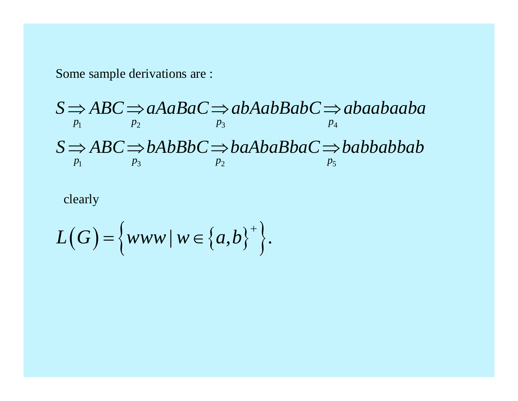Some sample derivations are :

$$
S \implies ABC \implies aAaBaC \implies abAabBabC \implies abaabaaba
$$
  
\n
$$
S \implies ABC \implies bAbbBbc \implies baAbaBbaC \implies babbabbab
$$
  
\n
$$
P_1
$$
  
\n
$$
P_2
$$
  
\n
$$
P_3
$$
  
\n
$$
P_4
$$
  
\n
$$
P_5
$$
  
\n
$$
P_5
$$

# clearly

$$
L(G) = \left\{ www \mid w \in \left\{ a,b \right\}^+ \right\}.
$$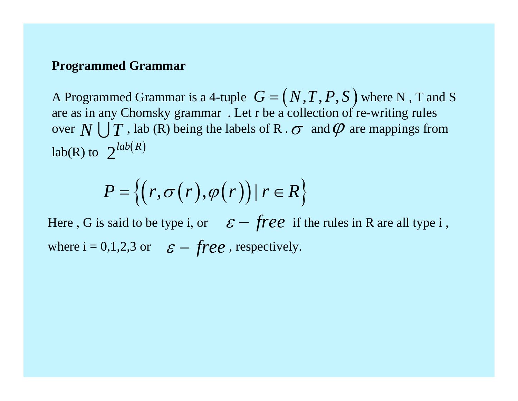#### **Programmed Grammar**

A Programmed Grammar is a 4-tuple  $\, G = (N, T, P, S \,)$  where N, T and S are as in any Chomsky grammar . Let r be a collection of re-writing rules over  $N \bigcup T$  , lab (R) being the labels of R .  $\sigma$  and  $\varphi$  are mappings from  $lab(R)$  to  $2^{lab(R)}$  $\mathbin{\raisebox{.3pt}{:}\!=} \big(N,T,P,S\big)$ 

$$
P = \{(r, \sigma(r), \varphi(r)) \mid r \in R\}
$$

Here, G is said to be type i, or  $\varepsilon$  - free if the rules in R are all type i, where  $i = 0, 1, 2, 3$  or  $\varepsilon - \text{free}$ , respectively.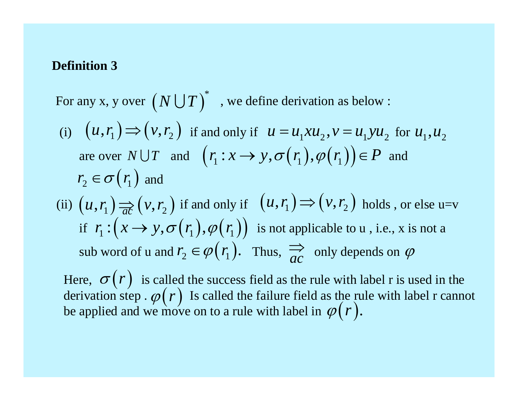### **Definition 3**

For any x, y over  $(N \bigcup T)^*$  , we define derivation as below : (i)  $(u, r_1) \Rightarrow (v, r_2)$  if and only if  $u = u_1 x u_2, v = u_1 y u_2$  for  $u_1, u_2$ are over  $N \cup T$  and  $(r_1 : x \rightarrow y, \sigma(r_1), \varphi(r_1)) \in P$  and  $r_2 \in \sigma(r_1)$  and  $\sigma(r_{_{\!1}})$ (ii)  $(u, r_1) \Rightarrow (v, r_2)$  if and only if  $(u, r_1) \Rightarrow (v, r_2)$  holds, or else u=v if  $r_1: (x \rightarrow y, \sigma(r_1), \varphi(r_1))$  is not applicable to u, i.e., x is not a sub word of u and  $r_2 \in \varphi(r_1)$ . Thus,  $\overrightarrow{ac}$  only depends on  $\varphi$ 

Here,  $\sigma(r)$  is called the success field as the rule with label r is used in the derivation step  $\varphi(r)$  Is called the failure field as the rule with label r cannot be applied and we move on to a rule with label in  $\sigma(r)$  $\varphi\big($ *r*  $\varphi\big($ *r* .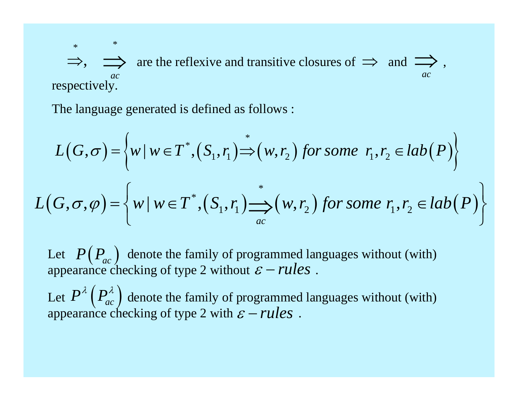$\Rightarrow$ ,  $\Rightarrow$  are the reflexive and transitive closures of  $\Rightarrow$  and  $\Rightarrow$ , respectively. *acac*

The language generated is defined as follows :

\*

\*

$$
L(G, \sigma) = \left\{ w \mid w \in T^*, (S_1, r_1) \stackrel{*}{\Rightarrow} (w, r_2) \text{ for some } r_1, r_2 \in lab(P) \right\}
$$
  

$$
L(G, \sigma, \varphi) = \left\{ w \mid w \in T^*, (S_1, r_1) \stackrel{*}{\underset{ac}{\Longrightarrow}} (w, r_2) \text{ for some } r_1, r_2 \in lab(P) \right\}
$$

Let  $P(P_{ac})$  denote the family of programmed languages without (with) appearance checking of type 2 without  $\varepsilon$  – *rules*.  $P\!\left(\mathit{P}_{\mathit{ac}}\right)$ *rules*

Let  $P^{\prime\prime}(P^{\prime\prime}_{ac})$  denote the family of programmed languages without (with) appearance checking of type 2 with  $\varepsilon$  – *rules*.  $P^{\lambda}\left(P_{ac}^{\lambda}\right)$ *rules*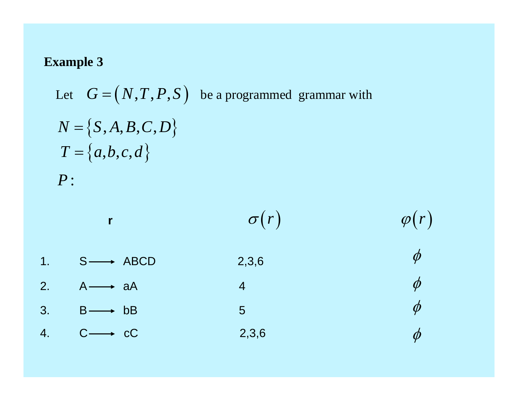Let 
$$
G = (N, T, P, S)
$$
 be a programmed grammar with  
\n $N = \{S, A, B, C, D\}$   
\n $T = \{a, b, c, d\}$   
\n $P$ :

|                |                          | $\sigma(r)$    | $\varphi(r)$        |
|----------------|--------------------------|----------------|---------------------|
| 1 <sub>1</sub> | $S \longrightarrow ABCD$ | 2,3,6          | $\phi$              |
| 2.             | $A \longrightarrow aA$   | $\overline{4}$ | $\phi$              |
| 3.             | $B \longrightarrow bB$   | 5              | $\phi$              |
| 4.             | $C \longrightarrow cC$   | 2,3,6          | $\boldsymbol{\phi}$ |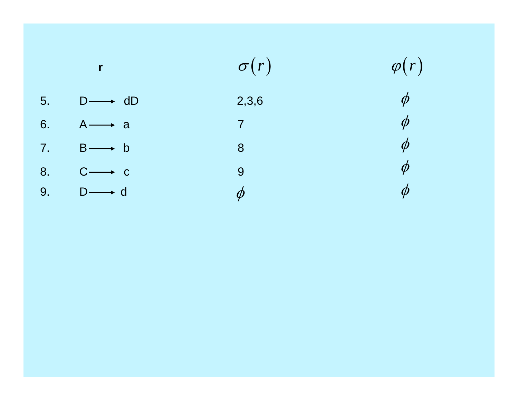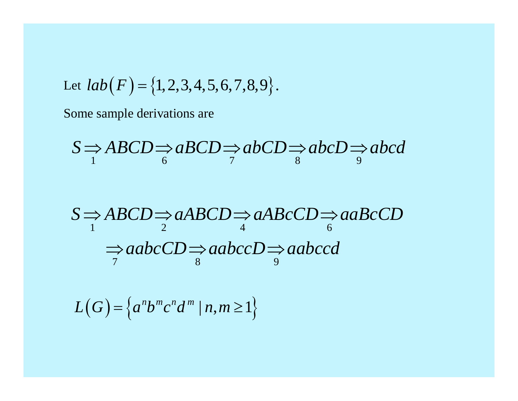Let 
$$
lab(F) = \{1, 2, 3, 4, 5, 6, 7, 8, 9\}.
$$

Some sample derivations are

$$
S \Rightarrow ABCD \Rightarrow aBCD \Rightarrow abCD \Rightarrow abcD \Rightarrow abcd
$$

$$
S \Rightarrow ABCD \Rightarrow aABCD \Rightarrow aABcCD \Rightarrow aabcCD
$$
  

$$
\Rightarrow aabcCD \Rightarrow aabcCD \Rightarrow aabccd
$$
  

$$
\Rightarrow aabcCD \Rightarrow aabcCD \Rightarrow aabccd
$$

$$
L(G) = \left\{ a^n b^m c^n d^m \mid n, m \ge 1 \right\}
$$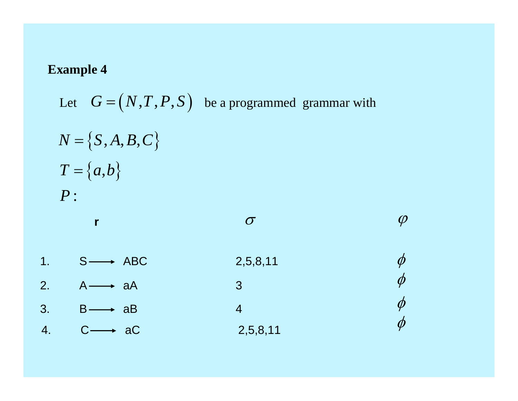Let 
$$
G = (N, T, P, S)
$$
 be a programmed grammar with  
\n $N = \{S, A, B, C\}$   
\n $T = \{a,b\}$   
\n $P:$   
\n $\sigma$   
\n1.  $S \longrightarrow ABC$   
\n $A \longrightarrow aA$   
\n $\sigma$   
\n2.  $\rho \longrightarrow A$   
\n3.  $B \longrightarrow aB$   
\n4.  $C \longrightarrow AC$   
\n2. 5,8,11  
\n $\phi$   
\n2. 6,8,11  
\n $\phi$   
\n2. 6,8,11  
\n $\phi$   
\n2. 6,8,11  
\n $\phi$   
\n2. 6,8,11  
\n $\phi$   
\n2. 6,8,11  
\n $\phi$   
\n2. 6,8,11  
\n $\phi$   
\n2. 6,8,11  
\n $\phi$   
\n2. 6,8,11  
\n $\phi$   
\n2. 6,8,11  
\n $\phi$   
\n2. 6,8,11  
\n $\phi$   
\n2. 6,8,11  
\n $\phi$   
\n2. 6,8,11  
\n $\phi$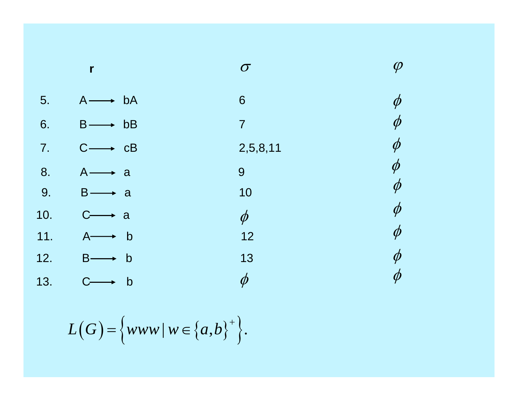|     | $\mathbf{r}$                       | $\sigma$       | $\varphi$           |
|-----|------------------------------------|----------------|---------------------|
| 5.  | $A \longrightarrow ba$             | 6              | $\phi$              |
| 6.  | $B \longrightarrow bB$             | $\overline{7}$ | $\boldsymbol{\phi}$ |
| 7.  | $C \longrightarrow cB$             | 2,5,8,11       | $\phi$              |
| 8.  | $A \longrightarrow$<br>a           | 9              | $\phi$              |
| 9.  | $B \longrightarrow$<br><b>a</b>    | 10             | $\boldsymbol{\phi}$ |
| 10. | $C$ -<br>a<br>$\longrightarrow$    | $\phi$         | $\boldsymbol{\phi}$ |
| 11. | b b<br>$A \rightarrow$             | 12             | $\phi$              |
| 12. | $B \longrightarrow$<br>$\mathsf b$ | 13             | $\phi$              |
| 13. | $\mathsf b$                        | $\phi$         | $\boldsymbol{\phi}$ |

$$
L(G) = \Big\{ www \mid w \in \big\{a,b\big\}^+\Big\}.
$$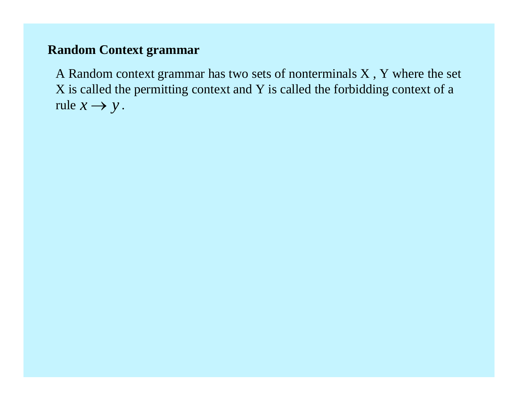# **Random Context grammar**

A Random context grammar has two sets of nonterminals X , Y where the set X is called the permitting context and Y is called the forbidding context of a rule  $x \rightarrow y$ .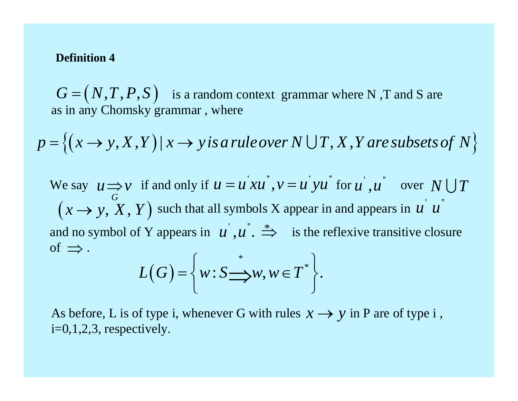#### **Definition 4**

 $G = (N, T, P, S)$  is a random context grammar where N,T and S are as in any Chomsky grammar , where  $\mathbin{\raisebox{.3pt}{:}\!=} \big(N,T,P,S\big)$ 

$$
p = \{(x \rightarrow y, X, Y) | x \rightarrow y \text{ is a rule over } N \cup T, X, Y \text{ are subsets of } N \}
$$

We say  $u \Rightarrow v$  if and only if  $u = u xu$ ,  $v = u yu$  for  $u$ ,  $u$  over such that all symbols X appear in and appears in and no symbol of Y appears in  $u^{\prime}, u^{\prime}$ .  $\Rightarrow$  is the reflexive transitive closure of  $\Rightarrow$  . *G*  $u \Longrightarrow v$  $u = u^{'}xu^{''}, v = u^{'}yu^{''}$  $u^{\dagger}, u^{\dagger}$  over  $N \cup T$  $\boldsymbol{u}^{'}$   $\boldsymbol{u}^{''}$  $(x \rightarrow y, X, Y)$ 

$$
L(G) = \bigg\{ w : S \longrightarrow w, w \in T^* \bigg\}.
$$

As before, L is of type i, whenever G with rules  $x \rightarrow y$  in P are of type i,  $i=0,1,2,3$ , respectively.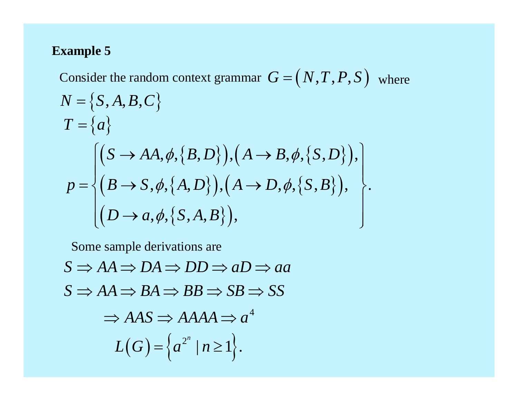Consider the random context grammar  $G = (N, T, P, S)$  where  $N$  =  $\left\{ S, A, B, C \right\}$  $T = \{a$  $=\{a\}$  $(S \rightarrow AA, \phi, \{B, D\}), \big(A \rightarrow B, \phi, \{S, D\}\big)$  $\Big(B\longrightarrow S, \phi, \big\{A,D\big\}\Big), \Big(A\longrightarrow D, \phi, \big\{S,B\big\}\Big)$  $(D \rightarrow a, \phi, \{S, A, B\})$ ,, , , ,, , ,  $, \varphi, \mu, \mu, \nu$  ,  $\mu, \mu, \tau, \nu, \nu, \varphi, \mu, \nu, \nu, \nu, \nu, \tau$  $, \gamma$ , , , , , , , , , , , , ,  $S \rightarrow AA, \phi, \{B, D\}$ ,  $(A \rightarrow B, \phi, \{S, D\})$  $p = \{ (B \rightarrow S, \phi, \{A, D\}) , (A \rightarrow D, \phi, \{S, B\}) \}$  $D \rightarrow a, \phi, \{S, A, B\}$  $\phi, \langle B, D \rangle$ ,  $(A \rightarrow B, \phi,$  $\phi, \langle A, D \rangle$ ,  $(A \rightarrow D, \phi,$  $=\begin{cases} (S\rightarrow AA, \phi, \{B,D\}), (A\rightarrow B, \phi, \{S,D\}), \\ (B\rightarrow S, \phi, \{A,D\}), (A\rightarrow D, \phi, \{S,B\}), \\ (D\rightarrow a, \phi, \{S,A,B\}), \end{cases}$ 

Some sample derivations are

 $S \Rightarrow AA \Rightarrow DA \Rightarrow DD \Rightarrow aD \Rightarrow aa$  $\Rightarrow$  AAS  $\Rightarrow$  AAAA $\Rightarrow$  a<sup>4</sup>  $S \Rightarrow AA \Rightarrow BA \Rightarrow BB \Rightarrow SB \Rightarrow SS$  $L(G) = \left\{ a^{2^n} \mid n \geq 1 \right\}.$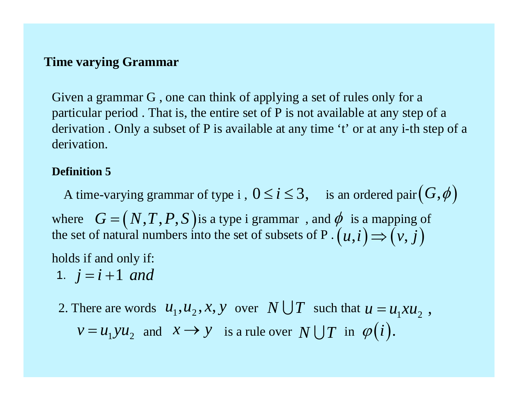# **Time varying Grammar**

Given a grammar G , one can think of applying a set of rules only for a particular period . That is, the entire set of P is not available at any step of a derivation . Only a subset of P is available at any time 't' or at any i-th step of a derivation.

## **Definition 5**

A time-varying grammar of type i,  $0 \le i \le 3$ , is an ordered pair  $(G, \phi)$ where  $G = (N, T, P, S)$  is a type i grammar, and  $\phi$  is a mapping of the set of natural numbers into the set of subsets of P . holds if and only if:  $G = (N, T, P, S)$  $=(N, T, P, S)$  is a type i grammar, and  $\phi$  is a mapping of atural numbers into the set of subsets of P.  $(u, i) \Rightarrow (v, j)$ 

1.  $j = i + 1$  and

2. There are words  $u_1, u_2, x, y$  over  $N \cup T$  such that  $u = u_1 x u_2$ ,  $v = u_1 y u_2$  and  $x \to y$  is a rule over  $N \cup T$  in  $\varphi(i)$ .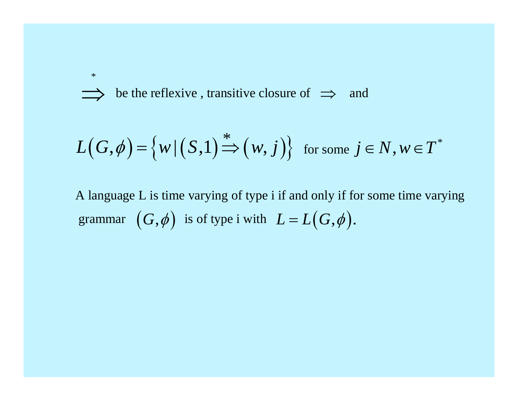be the reflexive, transitive closure of  $\implies$  and

$$
L(G,\phi) = \{w | (S,1) \stackrel{*}{\Rightarrow} (w,j)\} \text{ for some } j \in N, w \in T^*
$$

A language L is time varying of type i if and only if for some time varying grammar  $(G, \phi)$  is of type i with  $L = L(G, \phi)$ .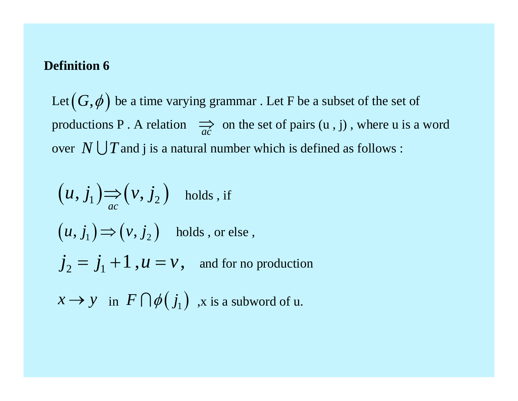## **Definition 6**

Let  $\left(G,\phi\right)$  be a time varying grammar . Let F be a subset of the set of productions P. A relation  $\Rightarrow_{ac}$  on the set of pairs  $(u, j)$ , where u is a word over  $N \bigcup T$  and j is a natural number which is defined as follows :

$$
(u, j_1) \Rightarrow (v, j_2) \text{ holds, if}
$$
  
\n
$$
(u, j_1) \Rightarrow (v, j_2) \text{ holds, or else,}
$$
  
\n
$$
j_2 = j_1 + 1, u = v, \text{ and for no production}
$$
  
\n
$$
x \rightarrow y \text{ in } F \cap \phi(j_1) \text{ , } x \text{ is a subword of } u.
$$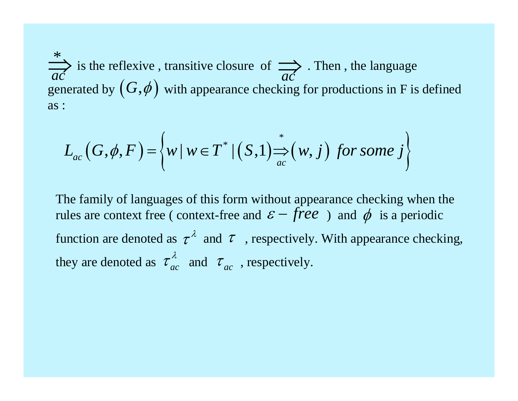$\Rightarrow$  is the reflexive, transitive closure of  $\Rightarrow$ . Then, the language generated by  $(G, \phi)$  with appearance checking for productions in F is defined as : *acac*

$$
L_{ac}(G,\phi,F) = \left\{ w \, | \, w \in T^* \mid (S,1) \right\} \xrightarrow{w} (w,j) \text{ for some } j \right\}
$$

The family of languages of this form without appearance checking when the rules are context free (context-free and  $\varepsilon$  – *free*) and  $\phi$  is a periodic function are denoted as  $\tau^{\lambda}$  and  $\tau$ , respectively. With appearance checking, they are denoted as  $\tau_{ac}^{\prime\prime}$  and  $\tau_{ac}$ , respectively.  $\tau_{ac}^{\lambda}$  and  $\tau_{ac}$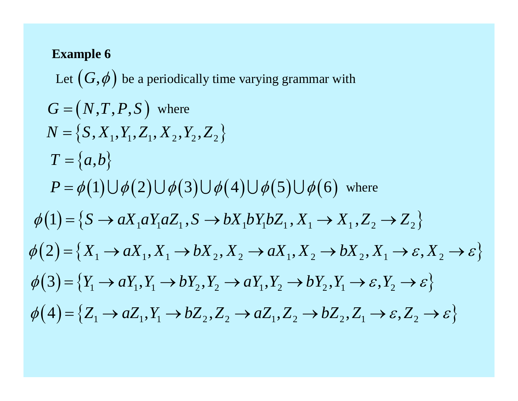Let  $(G, \phi)$  be a periodically time varying grammar with  $G = (N, T, P, S)$  where  $N = \{S, X_1, Y_1, Z_1, X_2, Y_2, Z_2\}$  $T = \{a,b\}$  $P = \phi(1) \cup \phi(2) \cup \phi(3) \cup \phi(4) \cup \phi(5) \cup \phi(6)$  where  $\phi(1) = \{S \rightarrow aX_1aY_1aZ_1, S \rightarrow bX_1bY_1bZ_1, X_1 \rightarrow X_1, Z_2 \rightarrow Z_2\}$  $\phi(2) = \{X_1 \rightarrow aX_1, X_1 \rightarrow bX_2, X_2 \rightarrow aX_1, X_2 \rightarrow bX_2, X_1 \rightarrow \varepsilon, X_2 \rightarrow \varepsilon\}$  $\phi(3) = \{Y_1 \rightarrow aY_1, Y_1 \rightarrow bY_2, Y_2 \rightarrow aY_1, Y_2 \rightarrow bY_2, Y_1 \rightarrow \varepsilon, Y_2 \rightarrow \varepsilon\}$  $\phi(4) = \{Z_1 \rightarrow aZ_1, Y_1 \rightarrow bZ_2, Z_2 \rightarrow aZ_1, Z_2 \rightarrow bZ_2, Z_1 \rightarrow \varepsilon, Z_2 \rightarrow \varepsilon\}$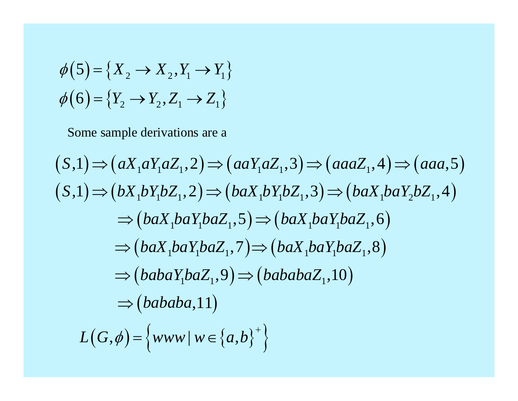$$
\phi(5) = \{X_2 \to X_2, Y_1 \to Y_1\}
$$
  

$$
\phi(6) = \{Y_2 \to Y_2, Z_1 \to Z_1\}
$$

Some sample derivations are a

$$
(S,1) \Rightarrow (aX_1aY_1aZ_1,2) \Rightarrow (aaY_1aZ_1,3) \Rightarrow (aaaZ_1,4) \Rightarrow (aaa,5)
$$
  
\n
$$
(S,1) \Rightarrow (bX_1bY_1bZ_1,2) \Rightarrow (baX_1bY_1bZ_1,3) \Rightarrow (baX_1baY_2bZ_1,4)
$$
  
\n
$$
\Rightarrow (baX_1baY_1baZ_1,5) \Rightarrow (baX_1baY_1baZ_1,6)
$$
  
\n
$$
\Rightarrow (baX_1baY_1baZ_1,7) \Rightarrow (baX_1baY_1baZ_1,8)
$$
  
\n
$$
\Rightarrow (babaY_1baZ_1,9) \Rightarrow (bababaZ_1,10)
$$
  
\n
$$
\Rightarrow (bababa,11)
$$
  
\n
$$
L(G,\phi) = \{www \mid w \in \{a,b\}^+\}
$$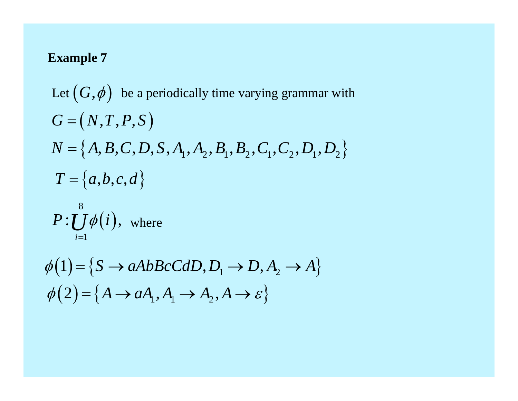Let  $(G, \phi)$  be a periodically time varying grammar with  $G = (N, T, P, S)$  $N = \{A, B, C, D, S, A_1, A_2, B_1, B_2, C_1, C_2, D_1, D_2\}$  $T = \{a,b,c,d\}$ 

$$
P:\bigcup_{i=1}^8\phi(i),\;\;\text{where}\;\;
$$

$$
\phi(1) = \{ S \rightarrow aAbBcCdD, D_1 \rightarrow D, A_2 \rightarrow A \}
$$
  

$$
\phi(2) = \{ A \rightarrow aA_1, A_1 \rightarrow A_2, A \rightarrow \varepsilon \}
$$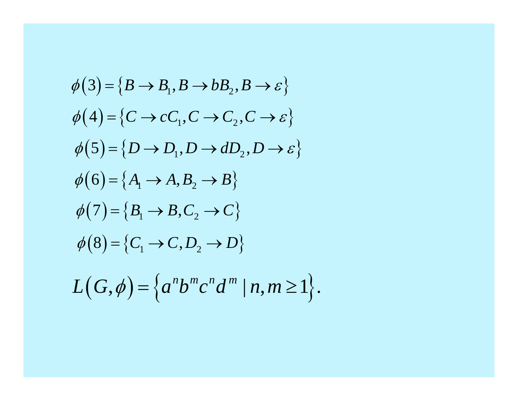$$
\phi(3) = \{B \rightarrow B_1, B \rightarrow bB_2, B \rightarrow \varepsilon\}
$$
  
\n
$$
\phi(4) = \{C \rightarrow cC_1, C \rightarrow C_2, C \rightarrow \varepsilon\}
$$
  
\n
$$
\phi(5) = \{D \rightarrow D_1, D \rightarrow dD_2, D \rightarrow \varepsilon\}
$$
  
\n
$$
\phi(6) = \{A_1 \rightarrow A, B_2 \rightarrow B\}
$$
  
\n
$$
\phi(7) = \{B_1 \rightarrow B, C_2 \rightarrow C\}
$$
  
\n
$$
\phi(8) = \{C_1 \rightarrow C, D_2 \rightarrow D\}
$$
  
\n
$$
L(G, \phi) = \{a^n b^m c^n d^m \mid n, m \ge 1\}.
$$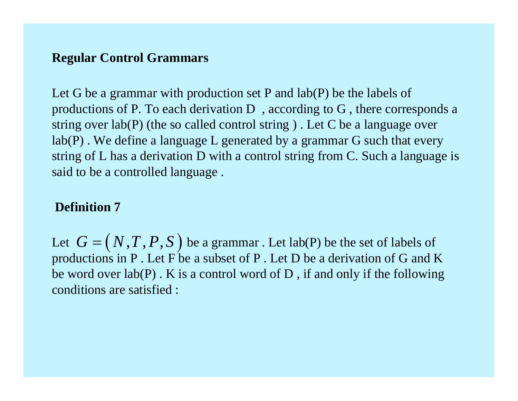# **Regular Control Grammars**

Let G be a grammar with production set P and lab(P) be the labels of productions of P. To each derivation D , according to G , there corresponds a string over lab(P) (the so called control string ) . Let C be a language over lab(P) . We define a language L generated by a grammar G such that every string of L has a derivation D with a control string from C. Such a language is said to be a controlled language .

## **Definition 7**

Let  $G = (N, T, P, S)$  be a grammar . Let lab(P) be the set of labels of productions in P . Let F be a subset of P . Let D be a derivation of G and K be word over  $lab(P)$ . K is a control word of D, if and only if the following conditions are satisfied :  $=\big( \mathop{N},\mathop{T},\mathop{P},\mathop{S}\big)$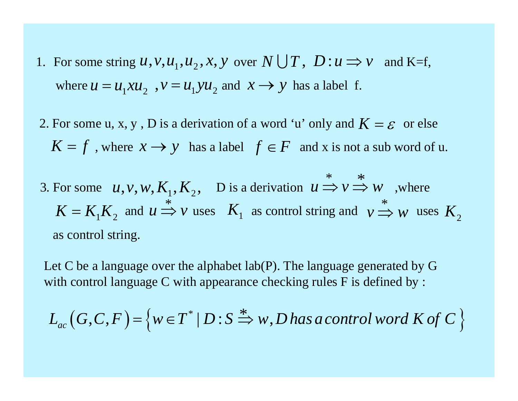- 1. For some string  $u, v, u_1, u_2, x, y$  over  $N \cup T$ ,  $D: u \Rightarrow v$  and K=f, where  $u = u_1 x u_2$ ,  $v = u_1 y u_2$  and  $x \rightarrow y$  has a label f.
- 2. For some u, x, y, D is a derivation of a word 'u' only and  $K = \varepsilon$  or else  $K = f$ , where  $x \rightarrow y$  has a label  $f \in F$  and x is not a sub word of u.
- 3. For some  $u, v, w, K_1, K_2, \quad D$  is a derivation  $u \Rightarrow v \Rightarrow w$ , where and  $u \Rightarrow v$  uses  $K_1$  as control string and  $v \Rightarrow w$  uses as control string.  $u, v, w, K_1, K_2, \quad D$  is a derivation  $u \Rightarrow v \Rightarrow w$ \*<br>— 11  $K = K_1 K_2$  and  $u \Rightarrow v$  $\Rightarrow$  *V* uses  $K_1$  as control string and  $v \Rightarrow w$  uses  $K_2$

Let C be a language over the alphabet lab(P). The language generated by G with control language C with appearance checking rules F is defined by :

$$
L_{ac}(G,C,F) = \{ w \in T^* | D: S \stackrel{*}{\Rightarrow} w, D \text{ has a control word } K \text{ of } C \}
$$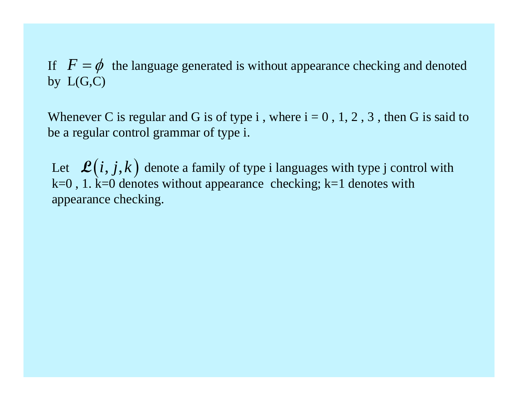If  $F = \phi$  the language generated is without appearance checking and denoted by  $L(G,C)$ 

Whenever C is regular and G is of type i, where  $i = 0, 1, 2, 3$ , then G is said to be a regular control grammar of type i.

Let  $\mathcal{L}(i, j, k)$  denote a family of type i languages with type j control with  $k=0$ , 1.  $k=0$  denotes without appearance checking;  $k=1$  denotes with appearance checking.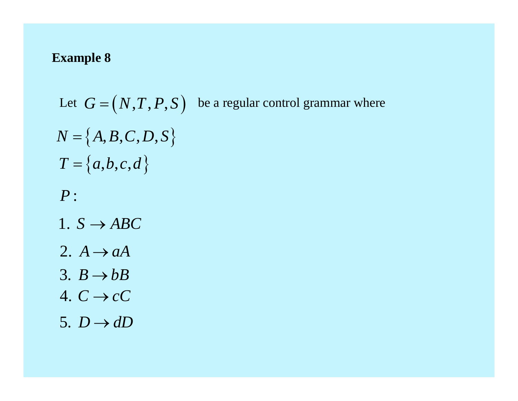Let  $G = (N, T, P, S)$  be a regular control grammar where  $N = \{A, B, C, D, S\}$  $T = \{a,b,c,d\}$  $P:$ 1.  $S \rightarrow ABC$ 2.  $A \rightarrow aA$ 3.  $B \rightarrow bB$ 4.  $C \rightarrow cC$ 5.  $D \rightarrow dD$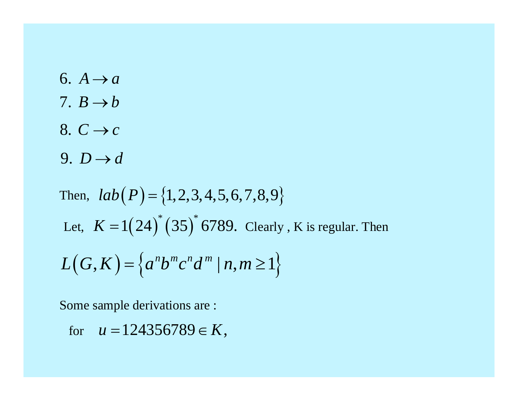6.  $A \rightarrow a$ 7.  $B \rightarrow b$ 8.  $C \rightarrow c$ 9.  $D \rightarrow d$ 

Then, 
$$
lab(P) = \{1, 2, 3, 4, 5, 6, 7, 8, 9\}
$$
  
Let,  $K = 1(24)^*(35)^*6789$ . Clearly, K is regular. Then  

$$
L(G, K) = \{a^n b^m c^n d^m | n, m \ge 1\}
$$

Some sample derivations are :

for 
$$
u = 124356789 \in K
$$
,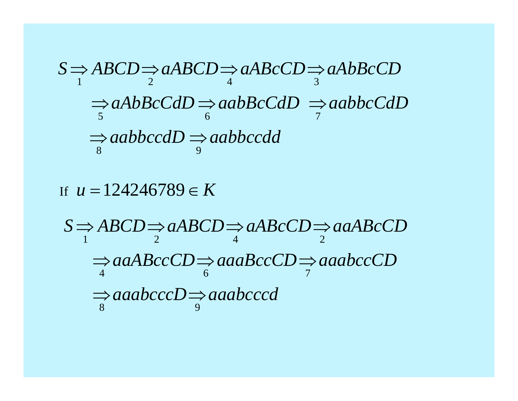$$
S \Rightarrow ABCD \Rightarrow aABCD \Rightarrow aABcCD \Rightarrow aAbBCCD
$$
  
\n
$$
\Rightarrow aAbBCcdD \Rightarrow aabBCcdD \Rightarrow aabbcCdD
$$
  
\n
$$
\Rightarrow aabbccdD \Rightarrow aabbccdd
$$
  
\n
$$
\Rightarrow aabbccdD \Rightarrow aabbccdd
$$

If  $u = 124246789 \in K$ 

1 and 2 and 4 and 2 and 2 and 2 and 2 and 2 and 2 and 2 and 2 and 2 and 2 and 2 and 2 and 2 and 2 and 2 and 2 4 6 7 8 9 $S \Rightarrow ABCD \Rightarrow aABCD \Rightarrow aABcCD \Rightarrow aaABCCD$  $\Rightarrow$  aaABccCD $\Rightarrow$  aaaBccCD $\Rightarrow$  aaabccCD  $\Rightarrow$  aaabccc $D$   $\Rightarrow$  aaabcccd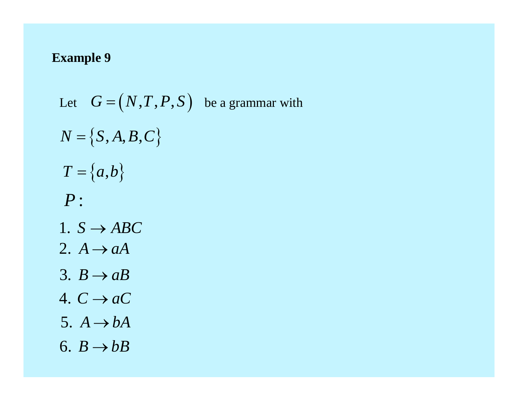Let  $G = (N, T, P, S)$  be a grammar with  $N = \{S, A, B, C\}$  $T = \{a,b\}$  $P:$ 1.  $S \rightarrow ABC$ 2.  $A \rightarrow aA$ 3.  $B \rightarrow aB$ 4.  $C \rightarrow aC$ 5.  $A \rightarrow bA$ 6.  $B \rightarrow bB$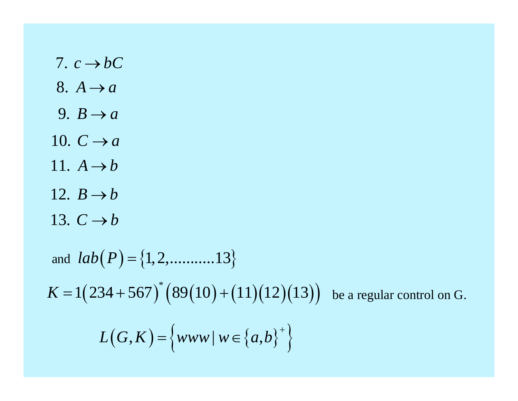7.  $c \rightarrow bC$ 8.  $A \rightarrow a$ 9.  $B \rightarrow a$ 10.  $C \rightarrow a$ 11.  $A \rightarrow b$ 12.  $B \rightarrow b$ 13.  $C \rightarrow b$ and  $lab(P) = \{1, 2, \dots, 13\}$ 

 $K = 1(234 + 567)^{*}(89(10) + (11)(12)(13))$  be a regular control on G.

$$
L(G, K) = \left\{ www \mid w \in \left\{ a, b \right\}^+ \right\}
$$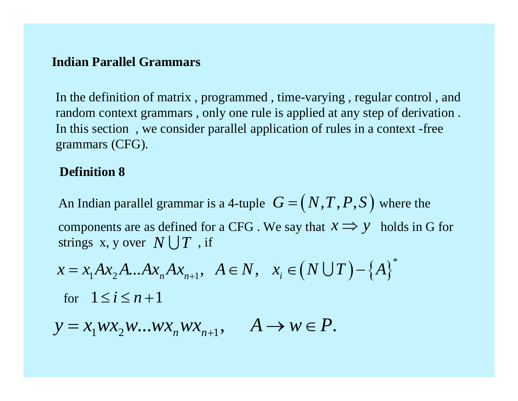## **Indian Parallel Grammars**

In the definition of matrix , programmed , time-varying , regular control , and random context grammars , only one rule is applied at any step of derivation . In this section , we consider parallel application of rules in a context -free grammars (CFG).

# **Definition 8**

An Indian parallel grammar is a 4-tuple  $G = (N, T, P, S)$  where the components are as defined for a CFG. We say that  $x \Rightarrow y$  holds in G for strings  $\mathbf{x}, \mathbf{y}$  over  $N \bigcup T$  , if  $\mathbin{\raisebox{.3pt}{:}\!=} \big(N,T,P,S\big)$ 

$$
x = x_1 A x_2 A ... A x_n A x_{n+1}, A \in N, x_i \in (N \cup T) - \{A\}^*
$$
  
for  $1 \le i \le n+1$ 

 $y = x_1 w x_2 w ... w x_n w x_{n+1}, \quad A \to w \in P.$  $A \rightarrow w \in P$ .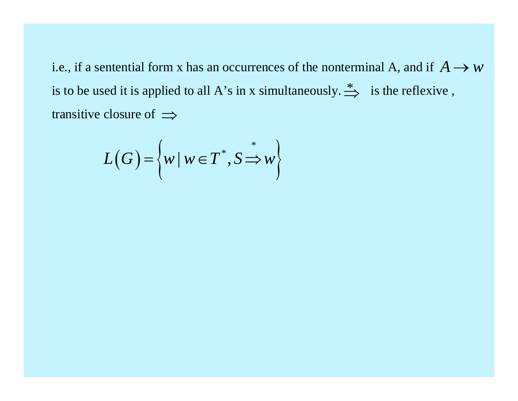i.e., if a sentential form x has an occurrences of the nonterminal A, and if  $A \rightarrow w$ is to be used it is applied to all A's in x simultaneously.  $\stackrel{*}{\Longrightarrow}$  is the reflexive, transitive closure of  $\implies$ 

$$
L(G) = \left\{ w \mid w \in T^*, S \stackrel{*}{\Rightarrow} w \right\}
$$